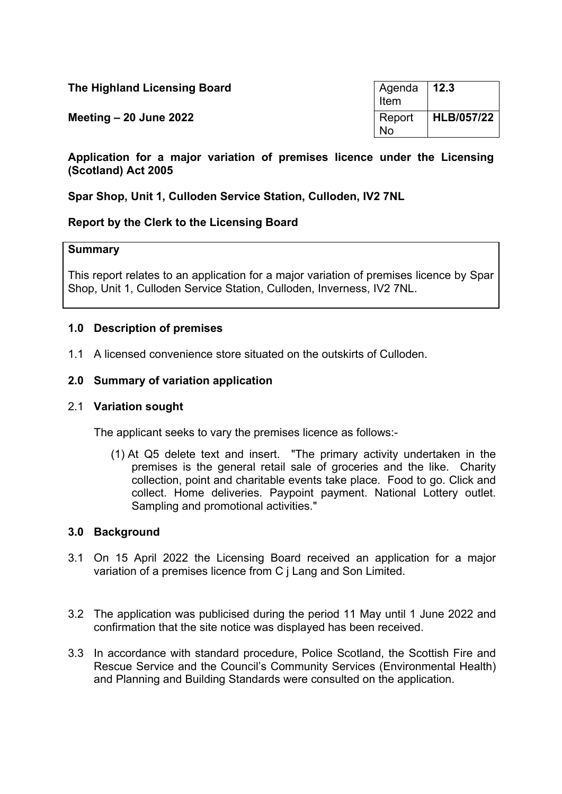| The Highland Licensing Board | l Agenda<br>Item | $\vert$ 12.3 |
|------------------------------|------------------|--------------|
| Meeting $-20$ June 2022      | Report<br>No     | HLB/057/22   |

**Application for a major variation of premises licence under the Licensing (Scotland) Act 2005**

## **Spar Shop, Unit 1, Culloden Service Station, Culloden, IV2 7NL**

## **Report by the Clerk to the Licensing Board**

### **Summary**

This report relates to an application for a major variation of premises licence by Spar Shop, Unit 1, Culloden Service Station, Culloden, Inverness, IV2 7NL.

### **1.0 Description of premises**

1.1 A licensed convenience store situated on the outskirts of Culloden.

### **2.0 Summary of variation application**

#### 2.1 **Variation sought**

The applicant seeks to vary the premises licence as follows:-

(1) At Q5 delete text and insert. "The primary activity undertaken in the premises is the general retail sale of groceries and the like. Charity collection, point and charitable events take place. Food to go. Click and collect. Home deliveries. Paypoint payment. National Lottery outlet. Sampling and promotional activities."

#### **3.0 Background**

- 3.1 On 15 April 2022 the Licensing Board received an application for a major variation of a premises licence from C j Lang and Son Limited.
- 3.2 The application was publicised during the period 11 May until 1 June 2022 and confirmation that the site notice was displayed has been received.
- 3.3 In accordance with standard procedure, Police Scotland, the Scottish Fire and Rescue Service and the Council's Community Services (Environmental Health) and Planning and Building Standards were consulted on the application.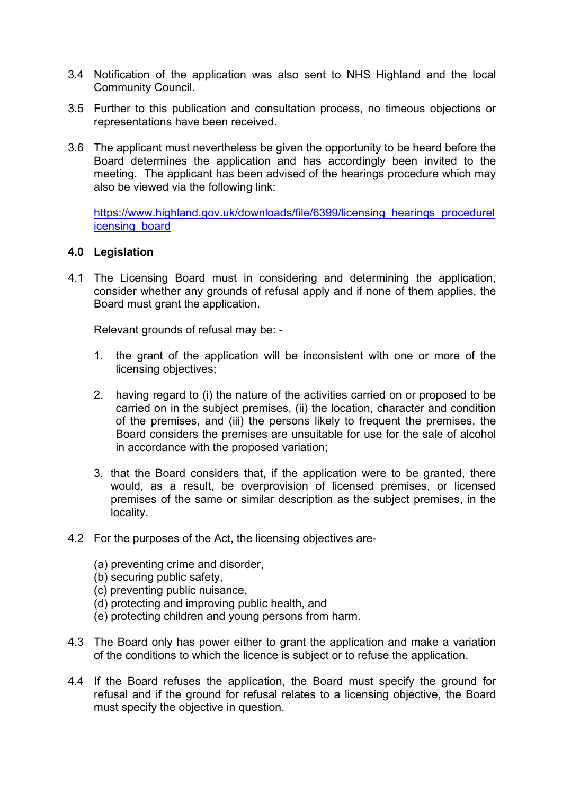- 3.4 Notification of the application was also sent to NHS Highland and the local Community Council.
- 3.5 Further to this publication and consultation process, no timeous objections or representations have been received.
- 3.6 The applicant must nevertheless be given the opportunity to be heard before the Board determines the application and has accordingly been invited to the meeting. The applicant has been advised of the hearings procedure which may also be viewed via the following link:

[https://www.highland.gov.uk/downloads/file/6399/licensing\\_hearings\\_procedurel](https://www.highland.gov.uk/downloads/file/6399/licensing_hearings_procedurelicensing_board) [icensing\\_board](https://www.highland.gov.uk/downloads/file/6399/licensing_hearings_procedurelicensing_board)

## **4.0 Legislation**

4.1 The Licensing Board must in considering and determining the application, consider whether any grounds of refusal apply and if none of them applies, the Board must grant the application.

Relevant grounds of refusal may be: -

- 1. the grant of the application will be inconsistent with one or more of the licensing objectives;
- 2. having regard to (i) the nature of the activities carried on or proposed to be carried on in the subject premises, (ii) the location, character and condition of the premises, and (iii) the persons likely to frequent the premises, the Board considers the premises are unsuitable for use for the sale of alcohol in accordance with the proposed variation;
- 3. that the Board considers that, if the application were to be granted, there would, as a result, be overprovision of licensed premises, or licensed premises of the same or similar description as the subject premises, in the locality.
- 4.2 For the purposes of the Act, the licensing objectives are-
	- (a) preventing crime and disorder,
	- (b) securing public safety,
	- (c) preventing public nuisance,
	- (d) protecting and improving public health, and
	- (e) protecting children and young persons from harm.
- 4.3 The Board only has power either to grant the application and make a variation of the conditions to which the licence is subject or to refuse the application.
- 4.4 If the Board refuses the application, the Board must specify the ground for refusal and if the ground for refusal relates to a licensing objective, the Board must specify the objective in question.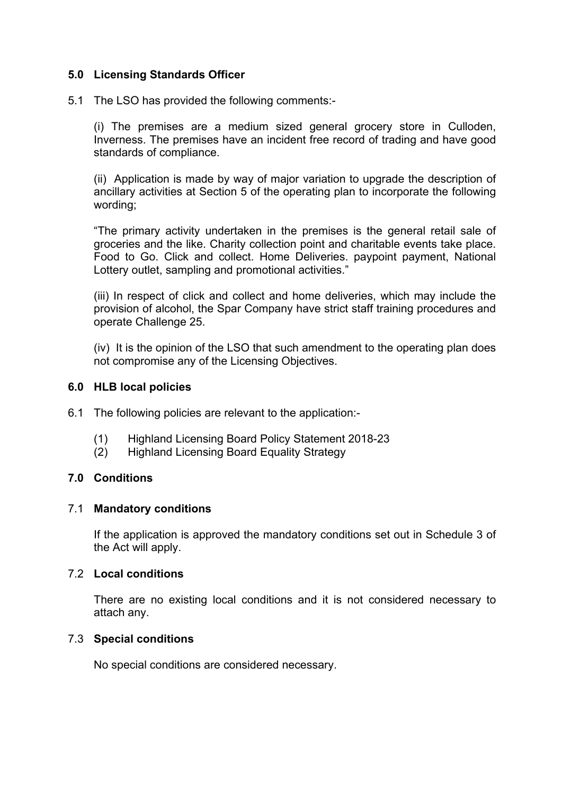## **5.0 Licensing Standards Officer**

5.1 The LSO has provided the following comments:-

(i) The premises are a medium sized general grocery store in Culloden, Inverness. The premises have an incident free record of trading and have good standards of compliance.

(ii) Application is made by way of major variation to upgrade the description of ancillary activities at Section 5 of the operating plan to incorporate the following wording;

"The primary activity undertaken in the premises is the general retail sale of groceries and the like. Charity collection point and charitable events take place. Food to Go. Click and collect. Home Deliveries. paypoint payment, National Lottery outlet, sampling and promotional activities."

(iii) In respect of click and collect and home deliveries, which may include the provision of alcohol, the Spar Company have strict staff training procedures and operate Challenge 25.

(iv) It is the opinion of the LSO that such amendment to the operating plan does not compromise any of the Licensing Objectives.

### **6.0 HLB local policies**

- 6.1 The following policies are relevant to the application:-
	- (1) Highland Licensing Board Policy Statement 2018-23
	- (2) Highland Licensing Board Equality Strategy

## **7.0 Conditions**

#### 7.1 **Mandatory conditions**

If the application is approved the mandatory conditions set out in Schedule 3 of the Act will apply.

### 7.2 **Local conditions**

There are no existing local conditions and it is not considered necessary to attach any.

## 7.3 **Special conditions**

No special conditions are considered necessary.